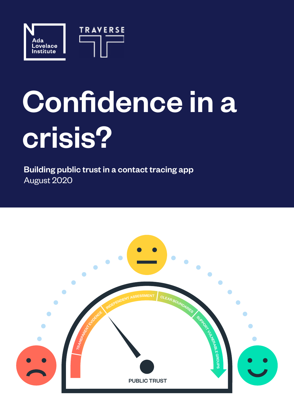

# Confidence in a crisis?

Building public trust in a contact tracing app August 2020

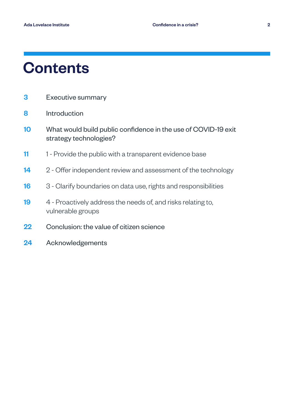### **Contents**

- 3 [Executive summary](#page-2-0)
- 8 [Introduction](#page-7-0)
- 10 [W](#page-9-0)hat would build public confidence in the use of COVID-19 exit strategy technologies?
- 11 1 Provide the public with a transparent evidence base
- 14 2 Offer independent review and assessment of the technology
- 16 3 Clarify boundaries on data use, rights and responsibilities
- 19 4 Proactively address the needs of, and risks relating to, vulnerable groups
- 22 Conclusion: the value of citizen science
- 24 Acknowledgements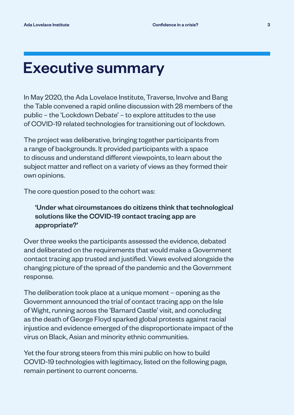### <span id="page-2-0"></span>Executive summary

In May 2020, the Ada Lovelace Institute, Traverse, Involve and Bang the Table convened a rapid online discussion with 28 members of the public – the 'Lockdown Debate' – to explore attitudes to the use of COVID-19 related technologies for transitioning out of lockdown.

The project was deliberative, bringing together participants from a range of backgrounds. It provided participants with a space to discuss and understand different viewpoints, to learn about the subject matter and reflect on a variety of views as they formed their own opinions.

The core question posed to the cohort was:

### 'Under what circumstances do citizens think that technological solutions like the COVID-19 contact tracing app are appropriate?'

Over three weeks the participants assessed the evidence, debated and deliberated on the requirements that would make a Government contact tracing app trusted and justified. Views evolved alongside the changing picture of the spread of the pandemic and the Government response.

The deliberation took place at a unique moment – opening as the Government announced the trial of contact tracing app on the Isle of Wight, running across the 'Barnard Castle' visit, and concluding as the death of George Floyd sparked global protests against racial injustice and evidence emerged of the disproportionate impact of the virus on Black, Asian and minority ethnic communities.

Yet the four strong steers from this mini public on how to build COVID-19 technologies with legitimacy, listed on the following page, remain pertinent to current concerns.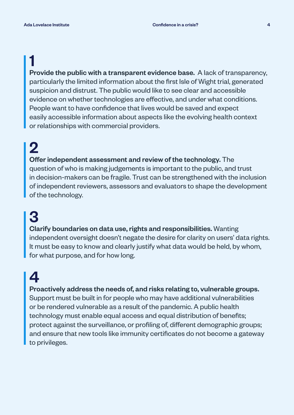### 1

Provide the public with a transparent evidence base. A lack of transparency, particularly the limited information about the first Isle of Wight trial, generated suspicion and distrust. The public would like to see clear and accessible evidence on whether technologies are effective, and under what conditions. People want to have confidence that lives would be saved and expect easily accessible information about aspects like the evolving health context or relationships with commercial providers.

### 2

Offer independent assessment and review of the technology. The question of who is making judgements is important to the public, and trust in decision-makers can be fragile. Trust can be strengthened with the inclusion of independent reviewers, assessors and evaluators to shape the development of the technology.

## 3

Clarify boundaries on data use, rights and responsibilities. Wanting independent oversight doesn't negate the desire for clarity on users' data rights. It must be easy to know and clearly justify what data would be held, by whom, for what purpose, and for how long.

### 4

Proactively address the needs of, and risks relating to, vulnerable groups.

Support must be built in for people who may have additional vulnerabilities or be rendered vulnerable as a result of the pandemic. A public health technology must enable equal access and equal distribution of benefits; protect against the surveillance, or profiling of, different demographic groups; and ensure that new tools like immunity certificates do not become a gateway to privileges.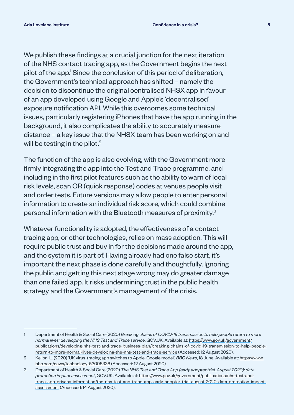We publish these findings at a crucial junction for the next iteration of the NHS contact tracing app, as the Government begins the next pilot of the app.<sup>1</sup> Since the conclusion of this period of deliberation, the Government's technical approach has shifted – namely the decision to discontinue the original centralised NHSX app in favour of an app developed using Google and Apple's 'decentralised' exposure notification API. While this overcomes some technical issues, particularly registering iPhones that have the app running in the background, it also complicates the ability to accurately measure distance – a key issue that the NHSX team has been working on and will be testing in the pilot. $2$ 

The function of the app is also evolving, with the Government more firmly integrating the app into the Test and Trace programme, and including in the first pilot features such as the ability to warn of local risk levels, scan QR (quick response) codes at venues people visit and order tests. Future versions may allow people to enter personal information to create an individual risk score, which could combine personal information with the Bluetooth measures of proximity.3

Whatever functionality is adopted, the effectiveness of a contact tracing app, or other technologies, relies on mass adoption. This will require public trust and buy in for the decisions made around the app, and the system it is part of. Having already had one false start, it's important the next phase is done carefully and thoughtfully. Ignoring the public and getting this next stage wrong may do greater damage than one failed app. It risks undermining trust in the public health strategy and the Government's management of the crisis.

<sup>1</sup> Department of Health & Social Care (2020) *Breaking chains of COVID-19 transmission to help people return to more normal lives: developing the NHS Test and Trace service*, GOV.UK. Available at: https://www.gov.uk/government/ publications/developing-nhs-test-and-trace-business-plan/breaking-chains-of-covid-19-transmission-to-help-peoplereturn-to-more-normal-lives-developing-the-nhs-test-and-trace-service (Accessed: 12 August 2020).

<sup>2</sup> Kelion, L. (2020) 'UK virus-tracing app switches to Apple-Google model', *BBC News*, 18 June. Available at: https://www. bbc.com/news/technology-53095336 (Accessed: 12 August 2020).

<sup>3</sup> Department of Health & Social Care (2020) *The NHS Test and Trace App (early adopter trial, August 2020): data protection impact assessment*, GOV.UK. Available at: https://www.gov.uk/government/publications/nhs-test-andtrace-app-privacy-information/the-nhs-test-and-trace-app-early-adopter-trial-august-2020-data-protection-impactassessment (Accessed: 14 August 2020).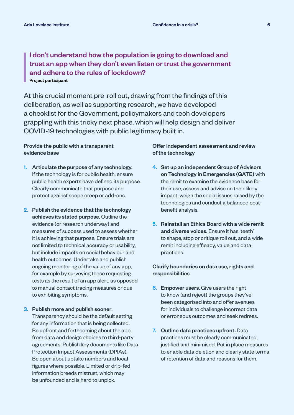#### I don't understand how the population is going to download and trust an app when they don't even listen or trust the government and adhere to the rules of lockdown? Project participant

At this crucial moment pre-roll out, drawing from the findings of this deliberation, as well as supporting research, we have developed a checklist for the Government, policymakers and tech developers grappling with this tricky next phase, which will help design and deliver COVID-19 technologies with public legitimacy built in.

#### Provide the public with a transparent evidence base

- 1. Articulate the purpose of any technology. If the technology is for public health, ensure public health experts have defined its purpose. Clearly communicate that purpose and protect against scope creep or add-ons.
- 2. Publish the evidence that the technology achieves its stated purpose. Outline the evidence (or research underway) and measures of success used to assess whether it is achieving that purpose. Ensure trials are not limited to technical accuracy or usability, but include impacts on social behaviour and health outcomes. Undertake and publish ongoing monitoring of the value of any app, for example by surveying those requesting tests as the result of an app alert, as opposed to manual contact tracing measures or due to exhibiting symptoms.
- 3. Publish more and publish sooner. Transparency should be the default setting for any information that is being collected. Be upfront and forthcoming about the app, from data and design choices to third-party agreements. Publish key documents like Data Protection Impact Assessments (DPIAs). Be open about uptake numbers and local figures where possible. Limited or drip-fed information breeds mistrust, which may be unfounded and is hard to unpick.

#### Offer independent assessment and review of the technology

- 4. Set up an independent Group of Advisors on Technology in Emergencies (GATE) with the remit to examine the evidence base for their use, assess and advise on their likely impact, weigh the social issues raised by the technologies and conduct a balanced costbenefit analysis.
- 5. Reinstall an Ethics Board with a wide remit and diverse voices. Ensure it has 'teeth' to shape, stop or critique roll out, and a wide remit including efficacy, value and data practices.

#### Clarify boundaries on data use, rights and responsibilities

- **6. Empower users.** Give users the right to know (and reject) the groups they've been categorised into and offer avenues for individuals to challenge incorrect data or erroneous outcomes and seek redress.
- 7. Outline data practices upfront. Data practices must be clearly communicated, justified and minimised. Put in place measures to enable data deletion and clearly state terms of retention of data and reasons for them.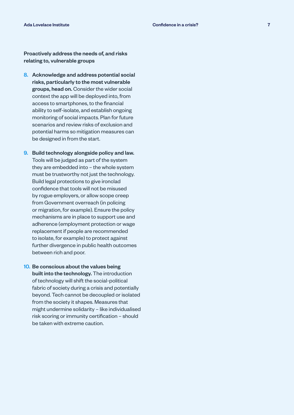Proactively address the needs of, and risks relating to, vulnerable groups

- 8. Acknowledge and address potential social risks, particularly to the most vulnerable groups, head on. Consider the wider social context the app will be deployed into, from access to smartphones, to the financial ability to self-isolate, and establish ongoing monitoring of social impacts. Plan for future scenarios and review risks of exclusion and potential harms so mitigation measures can be designed in from the start.
- 9. Build technology alongside policy and law. Tools will be judged as part of the system they are embedded into – the whole system must be trustworthy not just the technology. Build legal protections to give ironclad confidence that tools will not be misused by rogue employers, or allow scope creep from Government overreach (in policing or migration, for example). Ensure the policy mechanisms are in place to support use and adherence (employment protection or wage replacement if people are recommended to isolate, for example) to protect against further divergence in public health outcomes between rich and poor.
- 10. Be conscious about the values being built into the technology. The introduction of technology will shift the social-political fabric of society during a crisis and potentially beyond. Tech cannot be decoupled or isolated from the society it shapes. Measures that might undermine solidarity – like individualised risk scoring or immunity certification – should be taken with extreme caution.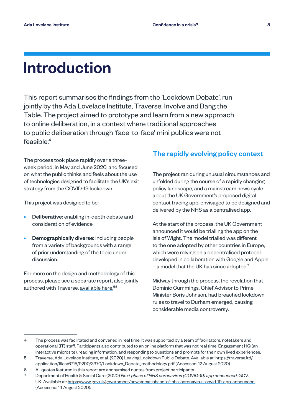### <span id="page-7-0"></span>Introduction

This report summarises the findings from the 'Lockdown Debate', run jointly by the Ada Lovelace Institute, Traverse, Involve and Bang the Table. The project aimed to prototype and learn from a new approach to online deliberation, in a context where traditional approaches to public deliberation through 'face-to-face' mini publics were not feasible. $4$ 

The process took place rapidly over a threeweek period, in May and June 2020, and focused on what the public thinks and feels about the use of technologies designed to facilitate the UK's exit strategy from the COVID-19 lockdown.

This project was designed to be:

- Deliberative: enabling in-depth debate and consideration of evidence
- Demographically diverse: including people from a variety of backgrounds with a range of prior understanding of the topic under discussion.

For more on the design and methodology of this process, please see a separate report, also jointly authored with Traverse, [available here.](https://traverse.ltd/application/files/6715/9290/3370/Lockdown_Debate_methodology.pdf)<sup>5,6</sup>

#### The rapidly evolving policy context

The project ran during unusual circumstances and unfolded during the course of a rapidly changing policy landscape, and a mainstream news cycle about the UK Government's proposed digital contact tracing app, envisaged to be designed and delivered by the NHS as a centralised app.

At the start of the process, the UK Government announced it would be trialling the app on the Isle of Wight. The model trialled was different to the one adopted by other countries in Europe, which were relying on a decentralised protocol developed in collaboration with Google and Apple  $-$  a model that the UK has since adopted.<sup>7</sup>

Midway through the process, the revelation that Dominic Cummings, Chief Advisor to Prime Minister Boris Johnson, had breached lockdown rules to travel to Durham emerged, causing considerable media controversy.

<sup>4</sup> The process was facilitated and convened in real time. It was supported by a team of facilitators, notetakers and operational (IT) staff. Participants also contributed to an online platform that was not real time, Engagement HQ (an interactive microsite), reading information, and responding to questions and prompts for their own lived experiences.

<sup>5</sup> Traverse, Ada Lovelace Institute, et al. (2020) Leaving Lockdown Public Debate. Available at: https://traverse.ltd/ application/files/6715/9290/3370/Lockdown\_Debate\_methodology.pdf (Accessed: 12 August 2020).

<sup>6</sup> All quotes featured in this report are anonymised quotes from project participants.

<sup>7</sup> Department of Health & Social Care (2020) *Next phase of NHS coronavirus (COVID-19) app announced*, GOV. UK. Available at: https://www.gov.uk/government/news/next-phase-of-nhs-coronavirus-covid-19-app-announced (Accessed: 14 August 2020).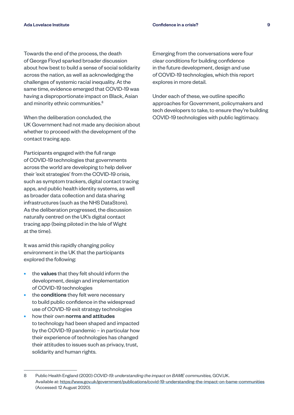Towards the end of the process, the death of George Floyd sparked broader discussion about how best to build a sense of social solidarity across the nation, as well as acknowledging the challenges of systemic racial inequality. At the same time, evidence emerged that COVID-19 was having a disproportionate impact on Black, Asian and minority ethnic communities.<sup>8</sup>

When the deliberation concluded, the UK Government had not made any decision about whether to proceed with the development of the contact tracing app.

Participants engaged with the full range of COVID-19 technologies that governments across the world are developing to help deliver their 'exit strategies' from the COVID-19 crisis, such as symptom trackers, digital contact tracing apps, and public health identity systems, as well as broader data collection and data sharing infrastructures (such as the NHS DataStore). As the deliberation progressed, the discussion naturally centred on the UK's digital contact tracing app (being piloted in the Isle of Wight at the time).

It was amid this rapidly changing policy environment in the UK that the participants explored the following:

- the **values** that they felt should inform the development, design and implementation of COVID-19 technologies
- the conditions they felt were necessary to build public confidence in the widespread use of COVID-19 exit strategy technologies
- how their own norms and attitudes to technology had been shaped and impacted by the COVID-19 pandemic – in particular how their experience of technologies has changed their attitudes to issues such as privacy, trust, solidarity and human rights.

Emerging from the conversations were four clear conditions for building confidence in the future development, design and use of COVID-19 technologies, which this report explores in more detail.

Under each of these, we outline specific approaches for Government, policymakers and tech developers to take, to ensure they're building COVID-19 technologies with public legitimacy.

<sup>8</sup> Public Health England (2020) *COVID-19: understanding the impact on BAME communities,* GOV.UK. Available at: https://www.gov.uk/government/publications/covid-19-understanding-the-impact-on-bame-communities (Accessed: 12 August 2020).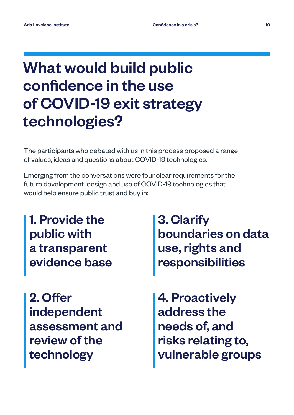## <span id="page-9-0"></span>What would build public confidence in the use of COVID-19 exit strategy technologies?

The participants who debated with us in this process proposed a range of values, ideas and questions about COVID-19 technologies.

Emerging from the conversations were four clear requirements for the future development, design and use of COVID-19 technologies that would help ensure public trust and buy in:

1. Provide the public with a transparent evidence base

2. Offer independent assessment and review of the technology

3. Clarify boundaries on data use, rights and responsibilities

4. Proactively address the needs of, and risks relating to, vulnerable groups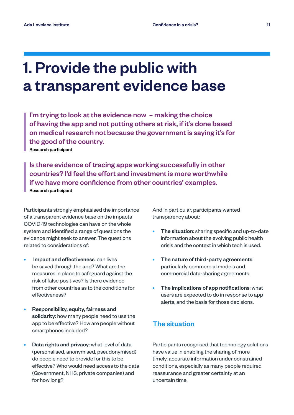### 1. Provide the public with a transparent evidence base

 I'm trying to look at the evidence now – making the choice of having the app and not putting others at risk, if it's done based on medical research not because the government is saying it's for the good of the country. Research participant

 Is there evidence of tracing apps working successfully in other countries? I'd feel the effort and investment is more worthwhile if we have more confidence from other countries' examples. Research participant

Participants strongly emphasised the importance of a transparent evidence base on the impacts COVID-19 technologies can have on the whole system and identified a range of questions the evidence might seek to answer. The questions related to considerations of:

- Impact and effectiveness: can lives be saved through the app? What are the measures in place to safeguard against the risk of false positives? Is there evidence from other countries as to the conditions for effectiveness?
- Responsibility, equity, fairness and solidarity: how many people need to use the app to be effective? How are people without smartphones included?
- Data rights and privacy: what level of data (personalised, anonymised, pseudonymised) do people need to provide for this to be effective? Who would need access to the data (Government, NHS, private companies) and for how long?

And in particular, participants wanted transparency about:

- The situation: sharing specific and up-to-date information about the evolving public health crisis and the context in which tech is used.
- The nature of third-party agreements: particularly commercial models and commercial data-sharing agreements.
- The implications of app notifications: what users are expected to do in response to app alerts, and the basis for those decisions.

#### The situation

Participants recognised that technology solutions have value in enabling the sharing of more timely, accurate information under constrained conditions, especially as many people required reassurance and greater certainty at an uncertain time.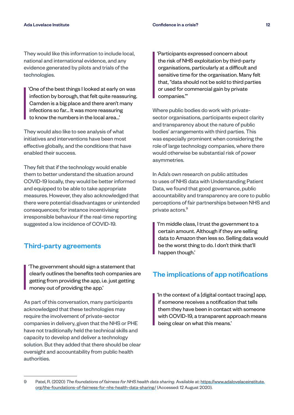They would like this information to include local, national and international evidence, and any evidence generated by pilots and trials of the technologies.

'One of the best things I looked at early on was infection by borough, that felt quite reassuring. Camden is a big place and there aren't many infections so far… It was more reassuring to know the numbers in the local area…'

They would also like to see analysis of what initiatives and interventions have been most effective globally, and the conditions that have enabled their success.

They felt that if the technology would enable them to better understand the situation around COVID-19 locally, they would be better informed and equipped to be able to take appropriate measures. However, they also acknowledged that there were potential disadvantages or unintended consequences; for instance incentivising irresponsible behaviour if the real-time reporting suggested a low incidence of COVID-19.

#### Third-party agreements

'The government should sign a statement that clearly outlines the benefits tech companies are getting from providing the app, i.e. just getting money out of providing the app.'

As part of this conversation, many participants acknowledged that these technologies may require the involvement of private-sector companies in delivery, given that the NHS or PHE have not traditionally held the technical skills and capacity to develop and deliver a technology solution. But they added that there should be clear oversight and accountability from public health authorities.

'Participants expressed concern about the risk of NHS exploitation by third-party organisations, particularly at a difficult and sensitive time for the organisation. Many felt that, "data should not be sold to third parties or used for commercial gain by private companies."'

Where public bodies do work with privatesector organisations, participants expect clarity and transparency about the nature of public bodies' arrangements with third parties. This was especially prominent when considering the role of large technology companies, where there would otherwise be substantial risk of power asymmetries.

In Ada's own research on public attitudes to uses of NHS data with Understanding Patient Data, we found that good governance, public accountability and transparency are core to public perceptions of fair partnerships between NHS and private actors.<sup>9</sup>

'I'm middle class, I trust the government to a certain amount. Although if they are selling data to Amazon then less so. Selling data would be the worst thing to do. I don't think that'll happen though.'

#### The implications of app notifications

'In the context of a [digital contact tracing] app, if someone receives a notification that tells them they have been in contact with someone with COVID-19, a transparent approach means being clear on what this means.'

<sup>9</sup> Patel, R. (2020) *The foundations of fairness for NHS health data sharing.* Available at: https://www.adalovelaceinstitute. org/the-foundations-of-fairness-for-nhs-health-data-sharing/ (Accessed: 12 August 2020).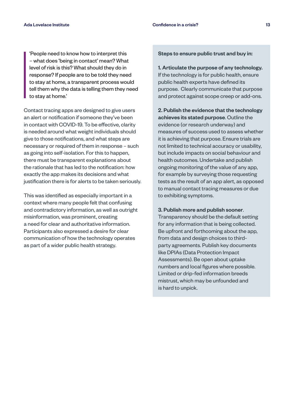'People need to know how to interpret this – what does 'being in contact' mean? What level of risk is this? What should they do in response? If people are to be told they need to stay at home, a transparent process would tell them why the data is telling them they need to stay at home.'

Contact tracing apps are designed to give users an alert or notification if someone they've been in contact with COVID-19. To be effective, clarity is needed around what weight individuals should give to those notifications, and what steps are necessary or required of them in response – such as going into self-isolation. For this to happen, there must be transparent explanations about the rationale that has led to the notification: how exactly the app makes its decisions and what justification there is for alerts to be taken seriously.

This was identified as especially important in a context where many people felt that confusing and contradictory information, as well as outright misinformation, was prominent, creating a need for clear and authoritative information. Participants also expressed a desire for clear communication of how the technology operates as part of a wider public health strategy.

Steps to ensure public trust and buy in:

1. Articulate the purpose of any technology. If the technology is for public health, ensure public health experts have defined its purpose. Clearly communicate that purpose and protect against scope creep or add-ons.

2. Publish the evidence that the technology achieves its stated purpose. Outline the evidence (or research underway) and measures of success used to assess whether it is achieving that purpose. Ensure trials are not limited to technical accuracy or usability, but include impacts on social behaviour and health outcomes. Undertake and publish ongoing monitoring of the value of any app, for example by surveying those requesting tests as the result of an app alert, as opposed to manual contact tracing measures or due to exhibiting symptoms.

3. Publish more and publish sooner.

Transparency should be the default setting for any information that is being collected. Be upfront and forthcoming about the app, from data and design choices to thirdparty agreements. Publish key documents like DPIAs (Data Protection Impact Assessments). Be open about uptake numbers and local figures where possible. Limited or drip-fed information breeds mistrust, which may be unfounded and is hard to unpick.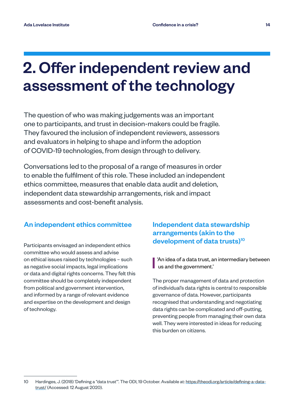### 2. Offer independent review and assessment of the technology

The question of who was making judgements was an important one to participants, and trust in decision-makers could be fragile. They favoured the inclusion of independent reviewers, assessors and evaluators in helping to shape and inform the adoption of COVID-19 technologies, from design through to delivery.

Conversations led to the proposal of a range of measures in order to enable the fulfilment of this role. These included an independent ethics committee, measures that enable data audit and deletion, independent data stewardship arrangements, risk and impact assessments and cost-benefit analysis.

#### An independent ethics committee

Participants envisaged an independent ethics committee who would assess and advise on ethical issues raised by technologies – such as negative social impacts, legal implications or data and digital rights concerns. They felt this committee should be completely independent from political and government intervention, and informed by a range of relevant evidence and expertise on the development and design of technology.

Independent data stewardship arrangements (akin to the development of data trusts)<sup>10</sup>

'An idea of a data trust, an intermediary between us and the government.'

The proper management of data and protection of individual's data rights is central to responsible governance of data. However, participants recognised that understanding and negotiating data rights can be complicated and off-putting, preventing people from managing their own data well. They were interested in ideas for reducing this burden on citizens.

<sup>10</sup> Hardinges, J. (2018) 'Defining a "data trust"'. The ODI, 19 October. Available at: https://theodi.org/article/defining-a-datatrust/ (Accessed: 12 August 2020).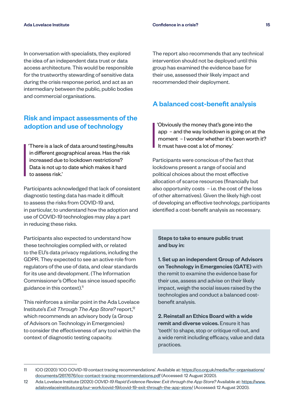In conversation with specialists, they explored the idea of an independent data trust or data access architecture. This would be responsible for the trustworthy stewarding of sensitive data during the crisis response period, and act as an intermediary between the public, public bodies and commercial organisations.

#### Risk and impact assessments of the adoption and use of technology

'There is a lack of data around testing/results in different geographical areas. Has the risk increased due to lockdown restrictions? Data is not up to date which makes it hard to assess risk.'

Participants acknowledged that lack of consistent diagnostic testing data has made it difficult to assess the risks from COVID-19 and, in particular, to understand how the adoption and use of COVID-19 technologies may play a part in reducing these risks.

Participants also expected to understand how these technologies complied with, or related to the EU's data privacy regulations, including the GDPR. They expected to see an active role from regulators of the use of data, and clear standards for its use and development. (The Information Commissioner's Office has since issued specific guidance in this context). $<sup>11</sup>$ </sup>

This reinforces a similar point in the Ada Lovelace Institute's *Exit Through The App Store?* report,<sup>12</sup> which recommends an advisory body (a Group of Advisors on Technology in Emergencies) to consider the effectiveness of any tool within the context of diagnostic testing capacity.

The report also recommends that any technical intervention should not be deployed until this group has examined the evidence base for their use, assessed their likely impact and recommended their deployment.

#### A balanced cost-benefit analysis

'Obviously the money that's gone into the app – and the way lockdown is going on at the moment - I wonder whether it's been worth it? It must have cost a lot of money.'

Participants were conscious of the fact that lockdowns present a range of social and political choices about the most effective allocation of scarce resources (financially but also opportunity costs – i.e. the cost of the loss of other alternatives). Given the likely high cost of developing an effective technology, participants identified a cost-benefit analysis as necessary.

Steps to take to ensure public trust and buy in:

1. Set up an independent Group of Advisors on Technology in Emergencies (GATE) with the remit to examine the evidence base for their use, assess and advise on their likely impact, weigh the social issues raised by the technologies and conduct a balanced costbenefit analysis.

2. Reinstall an Ethics Board with a wide remit and diverse voices. Ensure it has 'teeth' to shape, stop or critique roll out, and a wide remit including efficacy, value and data practices.

<sup>11</sup> ICO (2020) 'ICO COVID-19 contact tracing recommendations'. Available at: https://ico.org.uk/media/for-organisations/ documents/2617676/ico-contact-tracing-recommendations.pdf (Accessed: 12 August 2020).

<sup>12</sup> Ada Lovelace Institute (2020) *COVID-19 Rapid Evidence Review: Exit through the App Store?* Available at: https://www. adalovelaceinstitute.org/our-work/covid-19/covid-19-exit-through-the-app-store/ (Accessed: 12 August 2020).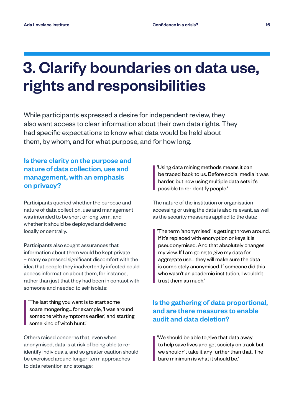### 3. Clarify boundaries on data use, rights and responsibilities

While participants expressed a desire for independent review, they also want access to clear information about their own data rights. They had specific expectations to know what data would be held about them, by whom, and for what purpose, and for how long.

#### Is there clarity on the purpose and nature of data collection, use and management, with an emphasis on privacy?

Participants queried whether the purpose and nature of data collection, use and management was intended to be short or long term, and whether it should be deployed and delivered locally or centrally.

Participants also sought assurances that information about them would be kept private – many expressed significant discomfort with the idea that people they inadvertently infected could access information about them, for instance, rather than just that they had been in contact with someone and needed to self isolate:

'The last thing you want is to start some scare mongering… for example, 'I was around someone with symptoms earlier,' and starting some kind of witch hunt.'

Others raised concerns that, even when anonymised, data is at risk of being able to reidentify individuals, and so greater caution should be exercised around longer-term approaches to data retention and storage:

'Using data mining methods means it can be traced back to us. Before social media it was harder, but now using multiple data sets it's possible to re-identify people.'

The nature of the institution or organisation accessing or using the data is also relevant, as well as the security measures applied to the data:

'The term 'anonymised' is getting thrown around. If it's replaced with encryption or keys it is pseudonymised. And that absolutely changes my view. If I am going to give my data for aggregate use… they will make sure the data is completely anonymised. If someone did this who wasn't an academic institution, I wouldn't trust them as much.'

#### Is the gathering of data proportional, and are there measures to enable audit and data deletion?

'We should be able to give that data away to help save lives and get society on track but we shouldn't take it any further than that. The bare minimum is what it should be.'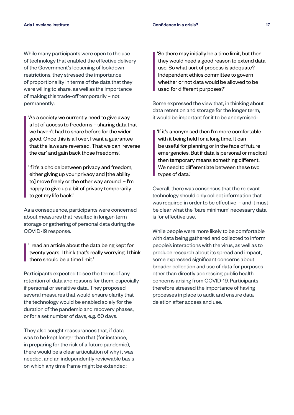While many participants were open to the use of technology that enabled the effective delivery of the Government's loosening of lockdown restrictions, they stressed the importance of proportionality in terms of the data that they were willing to share, as well as the importance of making this trade-off temporarily – not permanently:

'As a society we currently need to give away a lot of access to freedoms – sharing data that we haven't had to share before for the wider good. Once this is all over, I want a guarantee that the laws are reversed. That we can 'reverse the car' and gain back those freedoms.'

'If it's a choice between privacy and freedom, either giving up your privacy and [the ability to] move freely or the other way around – I'm happy to give up a bit of privacy temporarily to get my life back.'

As a consequence, participants were concerned about measures that resulted in longer-term storage or gathering of personal data during the COVID-19 response.

'I read an article about the data being kept for twenty years. I think that's really worrying. I think there should be a time limit.'

Participants expected to see the terms of any retention of data and reasons for them, especially if personal or sensitive data. They proposed several measures that would ensure clarity that the technology would be enabled solely for the duration of the pandemic and recovery phases, or for a set number of days, e.g. 60 days.

They also sought reassurances that, if data was to be kept longer than that (for instance, in preparing for the risk of a future pandemic), there would be a clear articulation of why it was needed, and an independently reviewable basis on which any time frame might be extended:

'So there may initially be a time limit, but then they would need a good reason to extend data use. So what sort of process is adequate? Independent ethics committee to govern whether or not data would be allowed to be used for different purposes?'

Some expressed the view that, in thinking about data retention and storage for the longer term, it would be important for it to be anonymised:

'If it's anonymised then I'm more comfortable with it being held for a long time. It can be useful for planning or in the face of future emergencies. But if data is personal or medical then temporary means something different. We need to differentiate between these two types of data.'

Overall, there was consensus that the relevant technology should only collect information that was required in order to be effective – and it must be clear what the 'bare minimum' necessary data is for effective use.

While people were more likely to be comfortable with data being gathered and collected to inform people's interactions with the virus, as well as to produce research about its spread and impact, some expressed significant concerns about broader collection and use of data for purposes other than directly addressing public health concerns arising from COVID-19. Participants therefore stressed the importance of having processes in place to audit and ensure data deletion after access and use.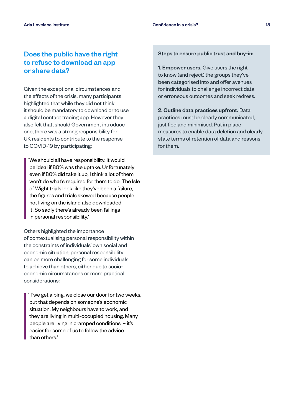#### Does the public have the right to refuse to download an app or share data?

Given the exceptional circumstances and the effects of the crisis, many participants highlighted that while they did not think it should be mandatory to download or to use a digital contact tracing app. However they also felt that, should Government introduce one, there was a strong responsibility for UK residents to contribute to the response to COVID-19 by participating:

'We should all have responsibility. It would be ideal if 80% was the uptake. Unfortunately even if 80% did take it up, I think a lot of them won't do what's required for them to do. The Isle of Wight trials look like they've been a failure, the figures and trials skewed because people not living on the island also downloaded it. So sadly there's already been failings in personal responsibility.'

Others highlighted the importance of contextualising personal responsibility within the constraints of individuals' own social and economic situation; personal responsibility can be more challenging for some individuals to achieve than others, either due to socioeconomic circumstances or more practical considerations:

'If we get a ping, we close our door for two weeks, but that depends on someone's economic situation. My neighbours have to work, and they are living in multi-occupied housing. Many people are living in cramped conditions – it's easier for some of us to follow the advice than others.'

Steps to ensure public trust and buy-in:

1. Empower users. Give users the right to know (and reject) the groups they've been categorised into and offer avenues for individuals to challenge incorrect data or erroneous outcomes and seek redress.

2. Outline data practices upfront. Data practices must be clearly communicated, justified and minimised. Put in place measures to enable data deletion and clearly state terms of retention of data and reasons for them.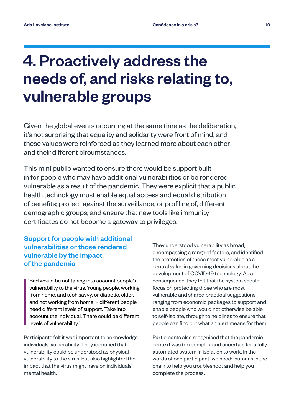### 4. Proactively address the needs of, and risks relating to, vulnerable groups

Given the global events occurring at the same time as the deliberation, it's not surprising that equality and solidarity were front of mind, and these values were reinforced as they learned more about each other and their different circumstances.

This mini public wanted to ensure there would be support built in for people who may have additional vulnerabilities or be rendered vulnerable as a result of the pandemic. They were explicit that a public health technology must enable equal access and equal distribution of benefits; protect against the surveillance, or profiling of, different demographic groups; and ensure that new tools like immunity certificates do not become a gateway to privileges.

#### Support for people with additional vulnerabilities or those rendered vulnerable by the impact of the pandemic

'Bad would be not taking into account people's vulnerability to the virus. Young people, working from home, and tech savvy, or diabetic, older, and not working from home – different people need different levels of support. Take into account the individual. There could be different levels of vulnerability.'

Participants felt it was important to acknowledge individuals' vulnerability. They identified that vulnerability could be understood as physical vulnerability to the virus, but also highlighted the impact that the virus might have on individuals' mental health.

They understood vulnerability as broad, encompassing a range of factors, and identified the protection of those most vulnerable as a central value in governing decisions about the development of COVID-19 technology. As a consequence, they felt that the system should focus on protecting those who are most vulnerable and shared practical suggestions ranging from economic packages to support and enable people who would not otherwise be able to self-isolate, through to helplines to ensure that people can find out what an alert means for them.

Participants also recognised that the pandemic context was too complex and uncertain for a fully automated system in isolation to work. In the words of one participant, we need: 'humans in the chain to help you troubleshoot and help you complete the process'.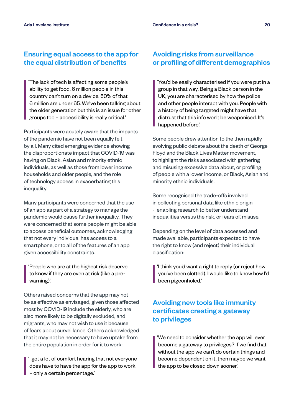#### Ensuring equal access to the app for the equal distribution of benefits

'The lack of tech is affecting some people's ability to get food. 6 million people in this country can't turn on a device. 50% of that 6 million are under 65. We've been talking about the older generation but this is an issue for other groups too – accessibility is really critical.'

Participants were acutely aware that the impacts of the pandemic have not been equally felt by all. Many cited emerging evidence showing the disproportionate impact that COVID-19 was having on Black, Asian and minority ethnic individuals, as well as those from lower income households and older people, and the role of technology access in exacerbating this inequality.

Many participants were concerned that the use of an app as part of a strategy to manage the pandemic would cause further inequality. They were concerned that some people might be able to access beneficial outcomes, acknowledging that not every individual has access to a smartphone, or to all of the features of an app given accessibility constraints.

'People who are at the highest risk deserve to know if they are even at risk (like a prewarning).'

Others raised concerns that the app may not be as effective as envisaged, given those affected most by COVID-19 include the elderly, who are also more likely to be digitally excluded, and migrants, who may not wish to use it because of fears about surveillance. Others acknowledged that it may not be necessary to have uptake from the entire population in order for it to work:

'I got a lot of comfort hearing that not everyone does have to have the app for the app to work – only a certain percentage.'

#### Avoiding risks from surveillance or profiling of different demographics

'You'd be easily characterised if you were put in a group in that way. Being a Black person in the UK, you are characterised by how the police and other people interact with you. People with a history of being targeted might have that distrust that this info won't be weaponised. It's happened before.'

Some people drew attention to the then rapidly evolving public debate about the death of George Floyd and the Black Lives Matter movement, to highlight the risks associated with gathering and misusing excessive data about, or profiling of people with a lower income, or Black, Asian and minority ethnic individuals.

Some recognised the trade-offs involved in collecting personal data like ethnic origin - enabling research to better understand inequalities versus the risk, or fears of, misuse.

Depending on the level of data accessed and made available, participants expected to have the right to know (and reject) their individual classification:

'I think you'd want a right to reply (or reject how you've been slotted). I would like to know how I'd been pigeonholed.'

#### Avoiding new tools like immunity certificates creating a gateway to privileges

'We need to consider whether the app will ever become a gateway to privileges? If we find that without the app we can't do certain things and become dependent on it, then maybe we want the app to be closed down sooner.'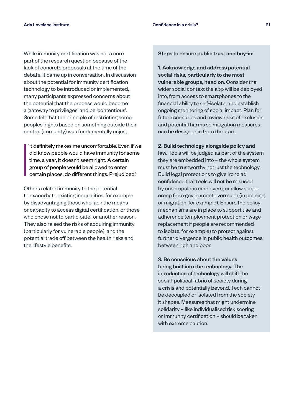While immunity certification was not a core part of the research question because of the lack of concrete proposals at the time of the debate, it came up in conversation. In discussion about the potential for immunity certification technology to be introduced or implemented, many participants expressed concerns about the potential that the process would become a 'gateway to privileges' and be 'contentious'. Some felt that the principle of restricting some peoples' rights based on something outside their control (immunity) was fundamentally unjust.

'It definitely makes me uncomfortable. Even if we did know people would have immunity for some time, a year, it doesn't seem right. A certain group of people would be allowed to enter certain places, do different things. Prejudiced.'

Others related immunity to the potential to exacerbate existing inequalities, for example by disadvantaging those who lack the means or capacity to access digital certification, or those who chose not to participate for another reason. They also raised the risks of acquiring immunity (particularly for vulnerable people), and the potential trade off between the health risks and the lifestyle benefits.

Steps to ensure public trust and buy-in:

1. Acknowledge and address potential social risks, particularly to the most vulnerable groups, head on. Consider the wider social context the app will be deployed into, from access to smartphones to the financial ability to self-isolate, and establish ongoing monitoring of social impact. Plan for future scenarios and review risks of exclusion and potential harms so mitigation measures can be designed in from the start.

2. Build technology alongside policy and law. Tools will be judged as part of the system they are embedded into – the whole system must be trustworthy not just the technology. Build legal protections to give ironclad confidence that tools will not be misused by unscrupulous employers, or allow scope creep from government overreach (in policing or migration, for example). Ensure the policy mechanisms are in place to support use and adherence (employment protection or wage replacement if people are recommended to isolate, for example) to protect against further divergence in public health outcomes between rich and poor.

3. Be conscious about the values being built into the technology. The introduction of technology will shift the social-political fabric of society during a crisis and potentially beyond. Tech cannot be decoupled or isolated from the society it shapes. Measures that might undermine solidarity – like individualised risk scoring or immunity certification – should be taken with extreme caution.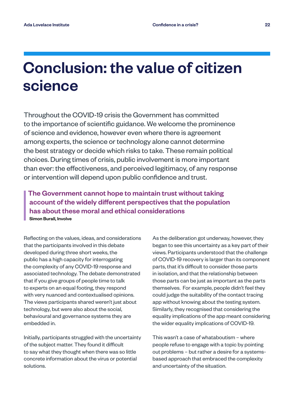### Conclusion: the value of citizen science

Throughout the COVID-19 crisis the Government has committed to the importance of scientific guidance. We welcome the prominence of science and evidence, however even where there is agreement among experts, the science or technology alone cannot determine the best strategy or decide which risks to take. These remain political choices. During times of crisis, public involvement is more important than ever: the effectiveness, and perceived legitimacy, of any response or intervention will depend upon public confidence and trust.

#### The Government cannot hope to maintain trust without taking account of the widely different perspectives that the population has about these moral and ethical considerations Simon Burall, Involve

Reflecting on the values, ideas, and considerations that the participants involved in this debate developed during three short weeks, the public has a high capacity for interrogating the complexity of any COVID-19 response and associated technology. The debate demonstrated that if you give groups of people time to talk to experts on an equal footing, they respond with very nuanced and contextualised opinions. The views participants shared weren't just about technology, but were also about the social, behavioural and governance systems they are embedded in.

Initially, participants struggled with the uncertainty of the subject matter. They found it difficult to say what they thought when there was so little concrete information about the virus or potential solutions.

As the deliberation got underway, however, they began to see this uncertainty as a key part of their views. Participants understood that the challenge of COVID-19 recovery is larger than its component parts, that it's difficult to consider those parts in isolation, and that the relationship between those parts can be just as important as the parts themselves. For example, people didn't feel they could judge the suitability of the contact tracing app without knowing about the testing system. Similarly, they recognised that considering the equality implications of the app meant considering the wider equality implications of COVID-19.

This wasn't a case of whataboutism – where people refuse to engage with a topic by pointing out problems – but rather a desire for a systemsbased approach that embraced the complexity and uncertainty of the situation.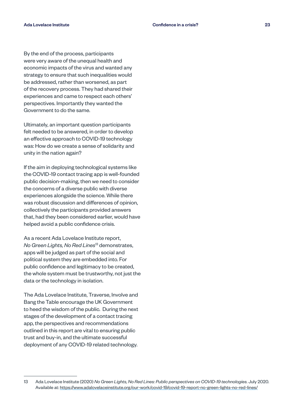By the end of the process, participants were very aware of the unequal health and economic impacts of the virus and wanted any strategy to ensure that such inequalities would be addressed, rather than worsened, as part of the recovery process. They had shared their experiences and came to respect each others' perspectives. Importantly they wanted the Government to do the same.

Ultimately, an important question participants felt needed to be answered, in order to develop an effective approach to COVID-19 technology was: How do we create a sense of solidarity and unity in the nation again?

If the aim in deploying technological systems like the COVID-19 contact tracing app is well-founded public decision-making, then we need to consider the concerns of a diverse public with diverse experiences alongside the science. While there was robust discussion and differences of opinion, collectively the participants provided answers that, had they been considered earlier, would have helped avoid a public confidence crisis.

As a recent Ada Lovelace Institute report, *No Green Lights, No Red Lines*13 demonstrates, apps will be judged as part of the social and political system they are embedded into. For public confidence and legitimacy to be created, the whole system must be trustworthy, not just the data or the technology in isolation.

The Ada Lovelace Institute, Traverse, Involve and Bang the Table encourage the UK Government to heed the wisdom of the public. During the next stages of the development of a contact tracing app, the perspectives and recommendations outlined in this report are vital to ensuring public trust and buy-in, and the ultimate successful deployment of any COVID-19 related technology.

<sup>13</sup> Ada Lovelace Institute (2020) *No Green Lights, No Red Lines: Public perspectives on COVID-19 technologies.* July 2020. Available at: https://www.adalovelaceinstitute.org/our-work/covid-19/covid-19-report-no-green-lights-no-red-lines/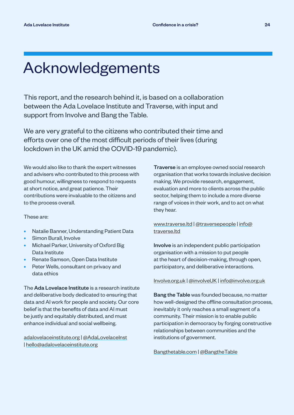### Acknowledgements

This report, and the research behind it, is based on a collaboration between the Ada Lovelace Institute and Traverse, with input and support from Involve and Bang the Table.

We are very grateful to the citizens who contributed their time and efforts over one of the most difficult periods of their lives (during lockdown in the UK amid the COVID-19 pandemic).

We would also like to thank the expert witnesses and advisers who contributed to this process with good humour, willingness to respond to requests at short notice, and great patience. Their contributions were invaluable to the citizens and to the process overall.

These are:

- Natalie Banner, Understanding Patient Data
- Simon Burall, Involve
- Michael Parker, University of Oxford Big Data Institute
- Renate Samson, Open Data Institute
- Peter Wells, consultant on privacy and data ethics

The Ada Lovelace Institute is a research institute and deliberative body dedicated to ensuring that data and AI work for people and society. Our core belief is that the benefits of data and AI must be justly and equitably distributed, and must enhance individual and social wellbeing.

[adalovelaceinstitute.org](https://www.adalovelaceinstitute.org/) | [@AdaLovelaceInst](https://twitter.com/AdaLovelaceInst) | [hello@adalovelaceinstitute.org](mailto:hello%40adalovelaceinstitute.org?subject=)

Traverse is an employee owned social research organisation that works towards inclusive decision making. We provide research, engagement, evaluation and more to clients across the public sector, helping them to include a more diverse range of voices in their work, and to act on what they hear.

[www.traverse.ltd](http://www.traverse.ltd) | [@traversepeople](https://twitter.com/traversepeople) | [info@](mailto:info%40traverse.ltd?subject=) [traverse.ltd](mailto:info%40traverse.ltd?subject=)

Involve is an independent public participation organisation with a mission to put people at the heart of decision-making, through open, participatory, and deliberative interactions.

[Involve.org.uk](http://Involve.org.uk) | [@involveUK](https://twitter.com/involveUK) | [info@involve.org.uk](mailto:info%40involve.org.uk?subject=)

Bang the Table was founded because, no matter how well-designed the offline consultation process, inevitably it only reaches a small segment of a community. Their mission is to enable public participation in democracy by forging constructive relationships between communities and the institutions of government.

[Bangthetable.com](http://Bangthetable.com) | [@BangtheTable](https://twitter.com/BangtheTable)